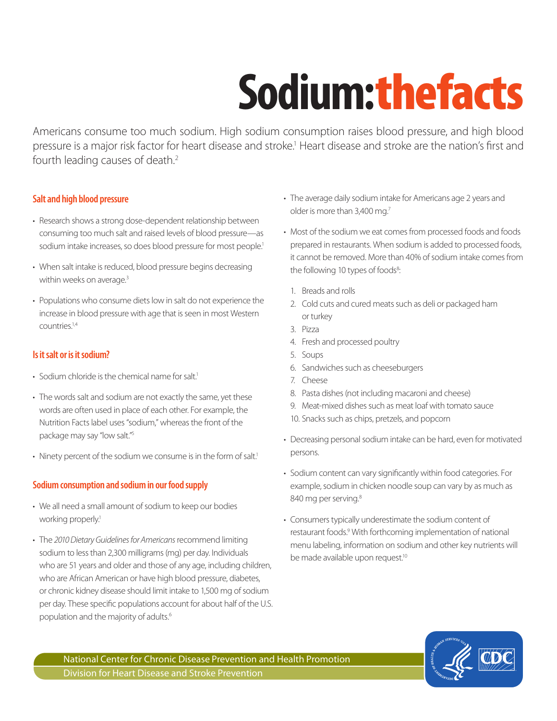# **Sodium:** the facts

Americans consume too much sodium. High sodium consumption raises blood pressure, and high blood pressure is a major risk factor for heart disease and stroke.<sup>1</sup> Heart disease and stroke are the nation's first and fourth leading causes of death.<sup>2</sup>

#### **Salt and high blood pressure**

- Research shows a strong dose-dependent relationship between consuming too much salt and raised levels of blood pressure—as sodium intake increases, so does blood pressure for most people.<sup>1</sup>
- When salt intake is reduced, blood pressure begins decreasing within weeks on average.<sup>3</sup>
- Populations who consume diets low in salt do not experience the increase in blood pressure with age that is seen in most Western countries.1,4

# **Is it salt or is it sodium?**

- Sodium chloride is the chemical name for salt.<sup>1</sup>
- The words salt and sodium are not exactly the same, yet these words are often used in place of each other. For example, the Nutrition Facts label uses "sodium," whereas the front of the package may say "low salt."5
- Ninety percent of the sodium we consume is in the form of salt.<sup>1</sup>

# **Sodium consumption and sodium in our food supply**

- We all need a small amount of sodium to keep our bodies working properly.<sup>1</sup>
- The *2010 Dietary Guidelines for Americans* recommend limiting sodium to less than 2,300 milligrams (mg) per day. Individuals who are 51 years and older and those of any age, including children, who are African American or have high blood pressure, diabetes, or chronic kidney disease should limit intake to 1,500 mg of sodium per day. These specific populations account for about half of the U.S. population and the majority of adults.<sup>6</sup>
- The average daily sodium intake for Americans age 2 years and older is more than 3,400 mg.<sup>7</sup>
- Most of the sodium we eat comes from processed foods and foods prepared in restaurants. When sodium is added to processed foods, it cannot be removed. More than 40% of sodium intake comes from the following 10 types of foods<sup>8</sup>:
	- 1. Breads and rolls
	- 2. Cold cuts and cured meats such as deli or packaged ham or turkey
- 3. Pizza
	- 4. Fresh and processed poultry
	- 5. Soups
	- 6. Sandwiches such as cheeseburgers
	- 7. Cheese
	- 8. Pasta dishes (not including macaroni and cheese)
	- 9. Meat-mixed dishes such as meat loaf with tomato sauce
	- 10. Snacks such as chips, pretzels, and popcorn
- Decreasing personal sodium intake can be hard, even for motivated persons.
- Sodium content can vary significantly within food categories. For example, sodium in chicken noodle soup can vary by as much as 840 mg per serving.<sup>8</sup>
- Consumers typically underestimate the sodium content of restaurant foods.<sup>9</sup> With forthcoming implementation of national menu labeling, information on sodium and other key nutrients will be made available upon request.<sup>10</sup>